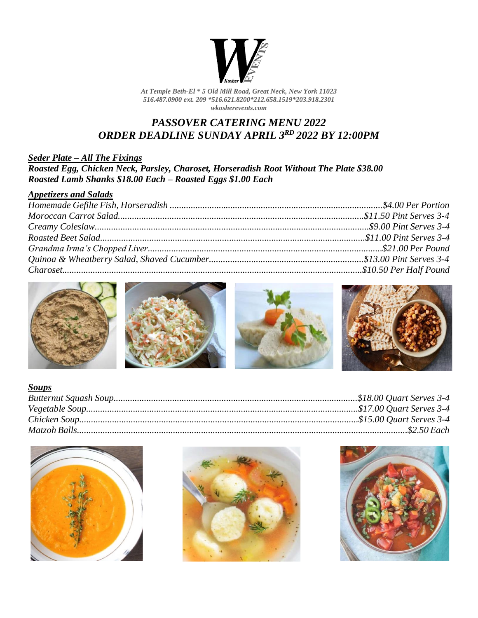

*At Temple Beth-El \* 5 Old Mill Road, Great Neck, New York 11023 516.487.0900 ext. 209 \*516.621.8200\*212.658.1519\*203.918.2301 wkosherevents.com*

# *PASSOVER CATERING MENU 2022 ORDER DEADLINE SUNDAY APRIL 3 RD 2022 BY 12:00PM*

#### *Seder Plate – All The Fixings Roasted Egg, Chicken Neck, Parsley, Charoset, Horseradish Root Without The Plate \$38.00 Roasted Lamb Shanks \$18.00 Each – Roasted Eggs \$1.00 Each*

| <b>Appetizers and Salads</b> |  |
|------------------------------|--|
|                              |  |
|                              |  |
|                              |  |
|                              |  |
|                              |  |
|                              |  |
|                              |  |









| <b>Soups</b> |  |
|--------------|--|
|              |  |
|              |  |
|              |  |
|              |  |





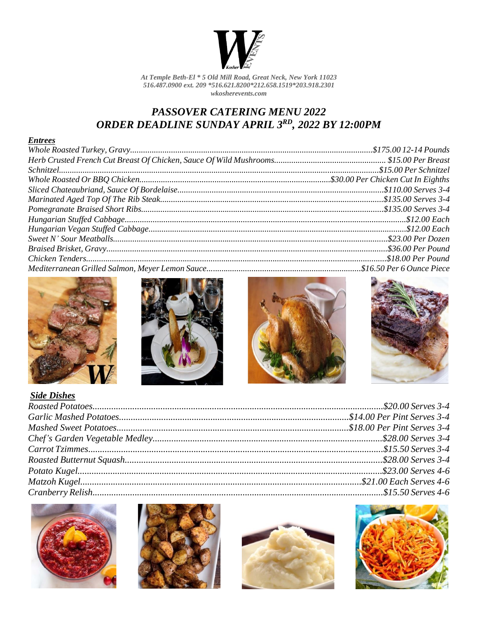

At Temple Beth-El \* 5 Old Mill Road, Great Neck, New York 11023 516.487.0900 ext. 209 \*516.621.8200\*212.658.1519\*203.918.2301  $\ensuremath{\textit{w}}\xspace$ kosherevents.com

# **PASSOVER CATERING MENU 2022** ORDER DEADLINE SUNDAY APRIL 3RD, 2022 BY 12:00PM

#### **Entrees**









| <b>Side Dishes</b> |  |
|--------------------|--|
|                    |  |
|                    |  |
|                    |  |
|                    |  |
|                    |  |
|                    |  |
|                    |  |
|                    |  |
|                    |  |







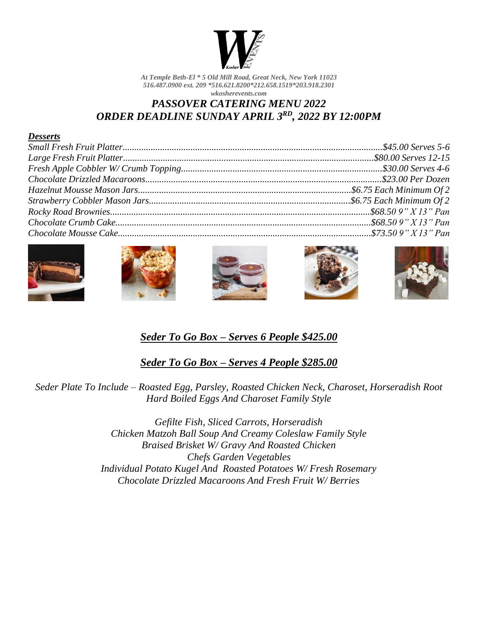

*At Temple Beth-El \* 5 Old Mill Road, Great Neck, New York 11023 516.487.0900 ext. 209 \*516.621.8200\*212.658.1519\*203.918.2301 wkosherevents.com*

### *PASSOVER CATERING MENU 2022 ORDER DEADLINE SUNDAY APRIL 3RD , 2022 BY 12:00PM*

#### *Desserts*











# *Seder To Go Box – Serves 6 People \$425.00*

*Seder To Go Box – Serves 4 People \$285.00*

*Seder Plate To Include – Roasted Egg, Parsley, Roasted Chicken Neck, Charoset, Horseradish Root Hard Boiled Eggs And Charoset Family Style*

> *Gefilte Fish, Sliced Carrots, Horseradish Chicken Matzoh Ball Soup And Creamy Coleslaw Family Style Braised Brisket W/ Gravy And Roasted Chicken Chefs Garden Vegetables Individual Potato Kugel And Roasted Potatoes W/ Fresh Rosemary Chocolate Drizzled Macaroons And Fresh Fruit W/ Berries*